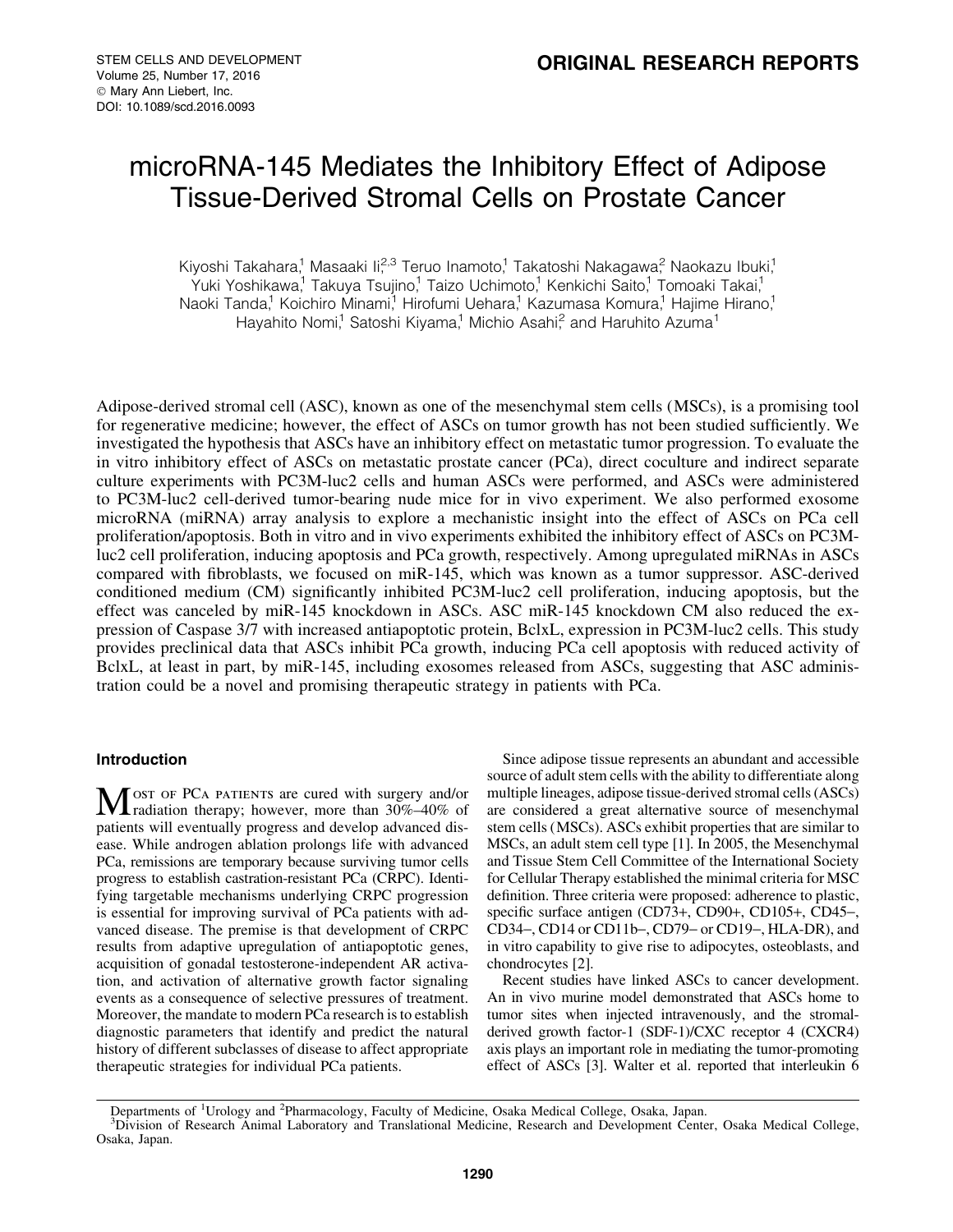# microRNA-145 Mediates the Inhibitory Effect of Adipose Tissue-Derived Stromal Cells on Prostate Cancer

Kiyoshi Takahara,<sup>1</sup> Masaaki Ii<sup>2,3</sup> Teruo Inamoto,<sup>1</sup> Takatoshi Nakagawa<sup>2</sup> Naokazu Ibuki,<sup>1</sup> Yuki Yoshikawa,<sup>1</sup> Takuya Tsujino,<sup>1</sup> Taizo Uchimoto,<sup>1</sup> Kenkichi Saito,<sup>1</sup> Tomoaki Takai,<sup>1</sup> Naoki Tanda,<sup>1</sup> Koichiro Minami,<sup>1</sup> Hirofumi Uehara,<sup>1</sup> Kazumasa Komura,<sup>1</sup> Hajime Hirano,<sup>1</sup> Hayahito Nomi,<sup>1</sup> Satoshi Kiyama,<sup>1</sup> Michio Asahi,<sup>2</sup> and Haruhito Azuma<sup>1</sup>

Adipose-derived stromal cell (ASC), known as one of the mesenchymal stem cells (MSCs), is a promising tool for regenerative medicine; however, the effect of ASCs on tumor growth has not been studied sufficiently. We investigated the hypothesis that ASCs have an inhibitory effect on metastatic tumor progression. To evaluate the in vitro inhibitory effect of ASCs on metastatic prostate cancer (PCa), direct coculture and indirect separate culture experiments with PC3M-luc2 cells and human ASCs were performed, and ASCs were administered to PC3M-luc2 cell-derived tumor-bearing nude mice for in vivo experiment. We also performed exosome microRNA (miRNA) array analysis to explore a mechanistic insight into the effect of ASCs on PCa cell proliferation/apoptosis. Both in vitro and in vivo experiments exhibited the inhibitory effect of ASCs on PC3Mluc2 cell proliferation, inducing apoptosis and PCa growth, respectively. Among upregulated miRNAs in ASCs compared with fibroblasts, we focused on miR-145, which was known as a tumor suppressor. ASC-derived conditioned medium (CM) significantly inhibited PC3M-luc2 cell proliferation, inducing apoptosis, but the effect was canceled by miR-145 knockdown in ASCs. ASC miR-145 knockdown CM also reduced the expression of Caspase 3/7 with increased antiapoptotic protein, BclxL, expression in PC3M-luc2 cells. This study provides preclinical data that ASCs inhibit PCa growth, inducing PCa cell apoptosis with reduced activity of BclxL, at least in part, by miR-145, including exosomes released from ASCs, suggesting that ASC administration could be a novel and promising therapeutic strategy in patients with PCa.

# Introduction

M ost of PCA patients are cured with surgery and/or<br>
radiation therapy; however, more than 30%–40% of patients will eventually progress and develop advanced disease. While androgen ablation prolongs life with advanced PCa, remissions are temporary because surviving tumor cells progress to establish castration-resistant PCa (CRPC). Identifying targetable mechanisms underlying CRPC progression is essential for improving survival of PCa patients with advanced disease. The premise is that development of CRPC results from adaptive upregulation of antiapoptotic genes, acquisition of gonadal testosterone-independent AR activation, and activation of alternative growth factor signaling events as a consequence of selective pressures of treatment. Moreover, the mandate to modern PCa research is to establish diagnostic parameters that identify and predict the natural history of different subclasses of disease to affect appropriate therapeutic strategies for individual PCa patients.

Since adipose tissue represents an abundant and accessible source of adult stem cells with the ability to differentiate along multiple lineages, adipose tissue-derived stromal cells (ASCs) are considered a great alternative source of mesenchymal stem cells (MSCs). ASCs exhibit properties that are similar to MSCs, an adult stem cell type [1]. In 2005, the Mesenchymal and Tissue Stem Cell Committee of the International Society for Cellular Therapy established the minimal criteria for MSC definition. Three criteria were proposed: adherence to plastic, specific surface antigen (CD73+, CD90+, CD105+, CD45-, CD34-, CD14 or CD11b-, CD79- or CD19-, HLA-DR), and in vitro capability to give rise to adipocytes, osteoblasts, and chondrocytes [2].

Recent studies have linked ASCs to cancer development. An in vivo murine model demonstrated that ASCs home to tumor sites when injected intravenously, and the stromalderived growth factor-1 (SDF-1)/CXC receptor 4 (CXCR4) axis plays an important role in mediating the tumor-promoting effect of ASCs [3]. Walter et al. reported that interleukin 6

Departments of <sup>1</sup>Urology and <sup>2</sup>Pharmacology, Faculty of Medicine, Osaka Medical College, Osaka, Japan.<br><sup>3</sup>Division of Research Animal Laboratory and Translational Medicine, Research and Development Center

Division of Research Animal Laboratory and Translational Medicine, Research and Development Center, Osaka Medical College, Osaka, Japan.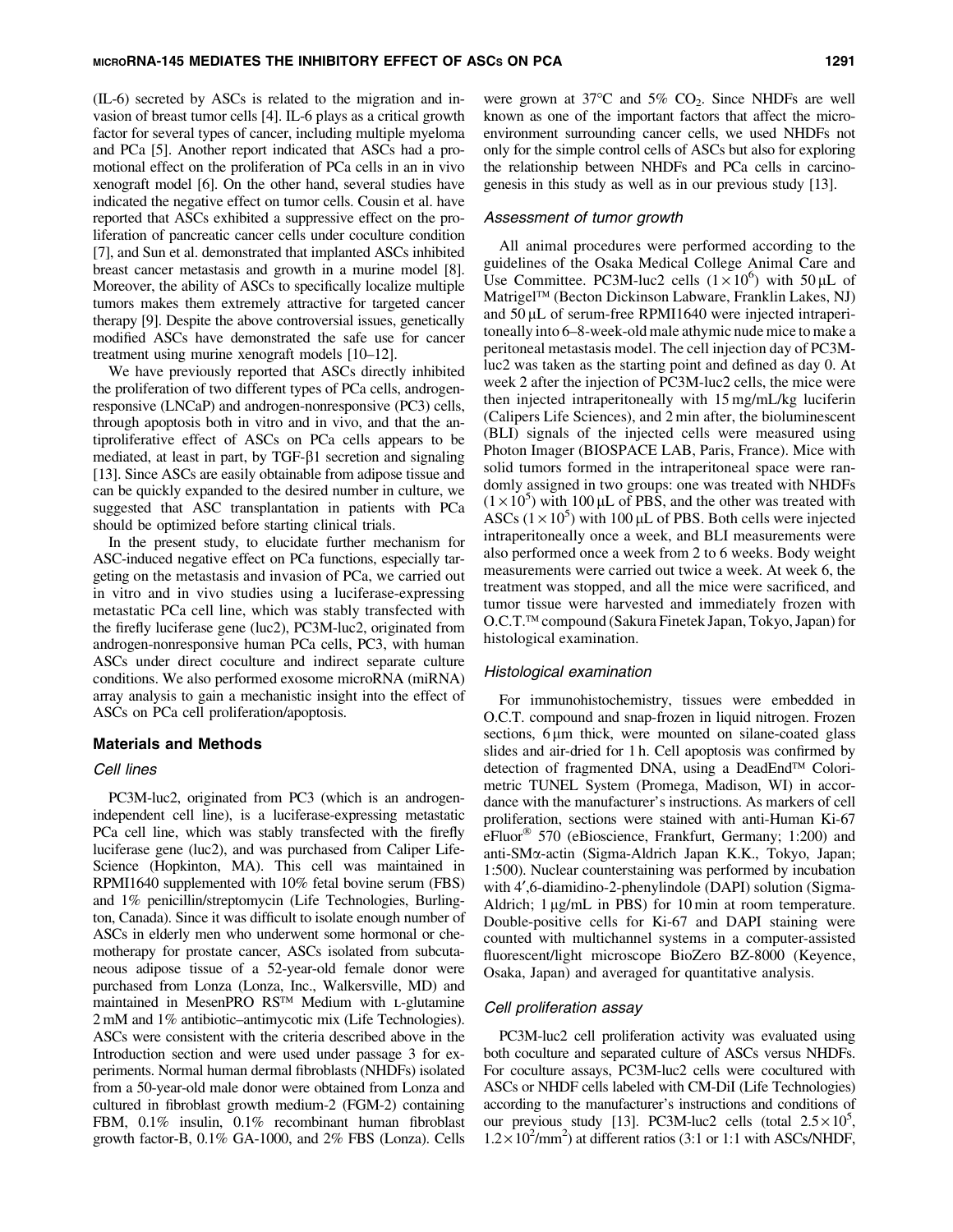(IL-6) secreted by ASCs is related to the migration and invasion of breast tumor cells [4]. IL-6 plays as a critical growth factor for several types of cancer, including multiple myeloma and PCa [5]. Another report indicated that ASCs had a promotional effect on the proliferation of PCa cells in an in vivo xenograft model [6]. On the other hand, several studies have indicated the negative effect on tumor cells. Cousin et al. have reported that ASCs exhibited a suppressive effect on the proliferation of pancreatic cancer cells under coculture condition [7], and Sun et al. demonstrated that implanted ASCs inhibited breast cancer metastasis and growth in a murine model [8]. Moreover, the ability of ASCs to specifically localize multiple tumors makes them extremely attractive for targeted cancer therapy [9]. Despite the above controversial issues, genetically modified ASCs have demonstrated the safe use for cancer treatment using murine xenograft models [10–12].

We have previously reported that ASCs directly inhibited the proliferation of two different types of PCa cells, androgenresponsive (LNCaP) and androgen-nonresponsive (PC3) cells, through apoptosis both in vitro and in vivo, and that the antiproliferative effect of ASCs on PCa cells appears to be mediated, at least in part, by TGF- $\beta$ 1 secretion and signaling [13]. Since ASCs are easily obtainable from adipose tissue and can be quickly expanded to the desired number in culture, we suggested that ASC transplantation in patients with PCa should be optimized before starting clinical trials.

In the present study, to elucidate further mechanism for ASC-induced negative effect on PCa functions, especially targeting on the metastasis and invasion of PCa, we carried out in vitro and in vivo studies using a luciferase-expressing metastatic PCa cell line, which was stably transfected with the firefly luciferase gene (luc2), PC3M-luc2, originated from androgen-nonresponsive human PCa cells, PC3, with human ASCs under direct coculture and indirect separate culture conditions. We also performed exosome microRNA (miRNA) array analysis to gain a mechanistic insight into the effect of ASCs on PCa cell proliferation/apoptosis.

#### Materials and Methods

#### Cell lines

PC3M-luc2, originated from PC3 (which is an androgenindependent cell line), is a luciferase-expressing metastatic PCa cell line, which was stably transfected with the firefly luciferase gene (luc2), and was purchased from Caliper Life-Science (Hopkinton, MA). This cell was maintained in RPMI1640 supplemented with 10% fetal bovine serum (FBS) and 1% penicillin/streptomycin (Life Technologies, Burlington, Canada). Since it was difficult to isolate enough number of ASCs in elderly men who underwent some hormonal or chemotherapy for prostate cancer, ASCs isolated from subcutaneous adipose tissue of a 52-year-old female donor were purchased from Lonza (Lonza, Inc., Walkersville, MD) and maintained in MesenPRO  $RS^{TM}$  Medium with L-glutamine 2 mM and 1% antibiotic–antimycotic mix (Life Technologies). ASCs were consistent with the criteria described above in the Introduction section and were used under passage 3 for experiments. Normal human dermal fibroblasts (NHDFs) isolated from a 50-year-old male donor were obtained from Lonza and cultured in fibroblast growth medium-2 (FGM-2) containing FBM, 0.1% insulin, 0.1% recombinant human fibroblast growth factor-B, 0.1% GA-1000, and 2% FBS (Lonza). Cells were grown at  $37^{\circ}$ C and  $5\%$  CO<sub>2</sub>. Since NHDFs are well known as one of the important factors that affect the microenvironment surrounding cancer cells, we used NHDFs not only for the simple control cells of ASCs but also for exploring the relationship between NHDFs and PCa cells in carcinogenesis in this study as well as in our previous study [13].

#### Assessment of tumor growth

All animal procedures were performed according to the guidelines of the Osaka Medical College Animal Care and Use Committee. PC3M-luc2 cells  $(1 \times 10^6)$  with 50 µL of Matrigel<sup>™</sup> (Becton Dickinson Labware, Franklin Lakes, NJ) and  $50 \mu$ L of serum-free RPMI1640 were injected intraperitoneally into 6–8-week-old male athymic nude mice to make a peritoneal metastasis model. The cell injection day of PC3Mluc2 was taken as the starting point and defined as day 0. At week 2 after the injection of PC3M-luc2 cells, the mice were then injected intraperitoneally with 15 mg/mL/kg luciferin (Calipers Life Sciences), and 2 min after, the bioluminescent (BLI) signals of the injected cells were measured using Photon Imager (BIOSPACE LAB, Paris, France). Mice with solid tumors formed in the intraperitoneal space were randomly assigned in two groups: one was treated with NHDFs  $(1 \times 10^5)$  with 100 µL of PBS, and the other was treated with ASCs  $(1 \times 10^5)$  with 100 µL of PBS. Both cells were injected intraperitoneally once a week, and BLI measurements were also performed once a week from 2 to 6 weeks. Body weight measurements were carried out twice a week. At week 6, the treatment was stopped, and all the mice were sacrificed, and tumor tissue were harvested and immediately frozen with O.C.T.<sup>™</sup> compound (Sakura Finetek Japan, Tokyo, Japan) for histological examination.

#### Histological examination

For immunohistochemistry, tissues were embedded in O.C.T. compound and snap-frozen in liquid nitrogen. Frozen sections, 6  $\mu$ m thick, were mounted on silane-coated glass slides and air-dried for 1 h. Cell apoptosis was confirmed by detection of fragmented DNA, using a DeadEnd<sup>TM</sup> Colorimetric TUNEL System (Promega, Madison, WI) in accordance with the manufacturer's instructions. As markers of cell proliferation, sections were stained with anti-Human Ki-67 eFluor<sup>®</sup> 570 (eBioscience, Frankfurt, Germany; 1:200) and anti-SMa-actin (Sigma-Aldrich Japan K.K., Tokyo, Japan; 1:500). Nuclear counterstaining was performed by incubation with 4',6-diamidino-2-phenylindole (DAPI) solution (Sigma-Aldrich;  $1 \mu g/mL$  in PBS) for  $10 \text{ min}$  at room temperature. Double-positive cells for Ki-67 and DAPI staining were counted with multichannel systems in a computer-assisted fluorescent/light microscope BioZero BZ-8000 (Keyence, Osaka, Japan) and averaged for quantitative analysis.

#### Cell proliferation assay

PC3M-luc2 cell proliferation activity was evaluated using both coculture and separated culture of ASCs versus NHDFs. For coculture assays, PC3M-luc2 cells were cocultured with ASCs or NHDF cells labeled with CM-DiI (Life Technologies) according to the manufacturer's instructions and conditions of our previous study [13]. PC3M-luc2 cells (total  $2.5 \times 10^5$ ,  $1.2 \times 10^2$ /mm<sup>2</sup>) at different ratios (3:1 or 1:1 with ASCs/NHDF,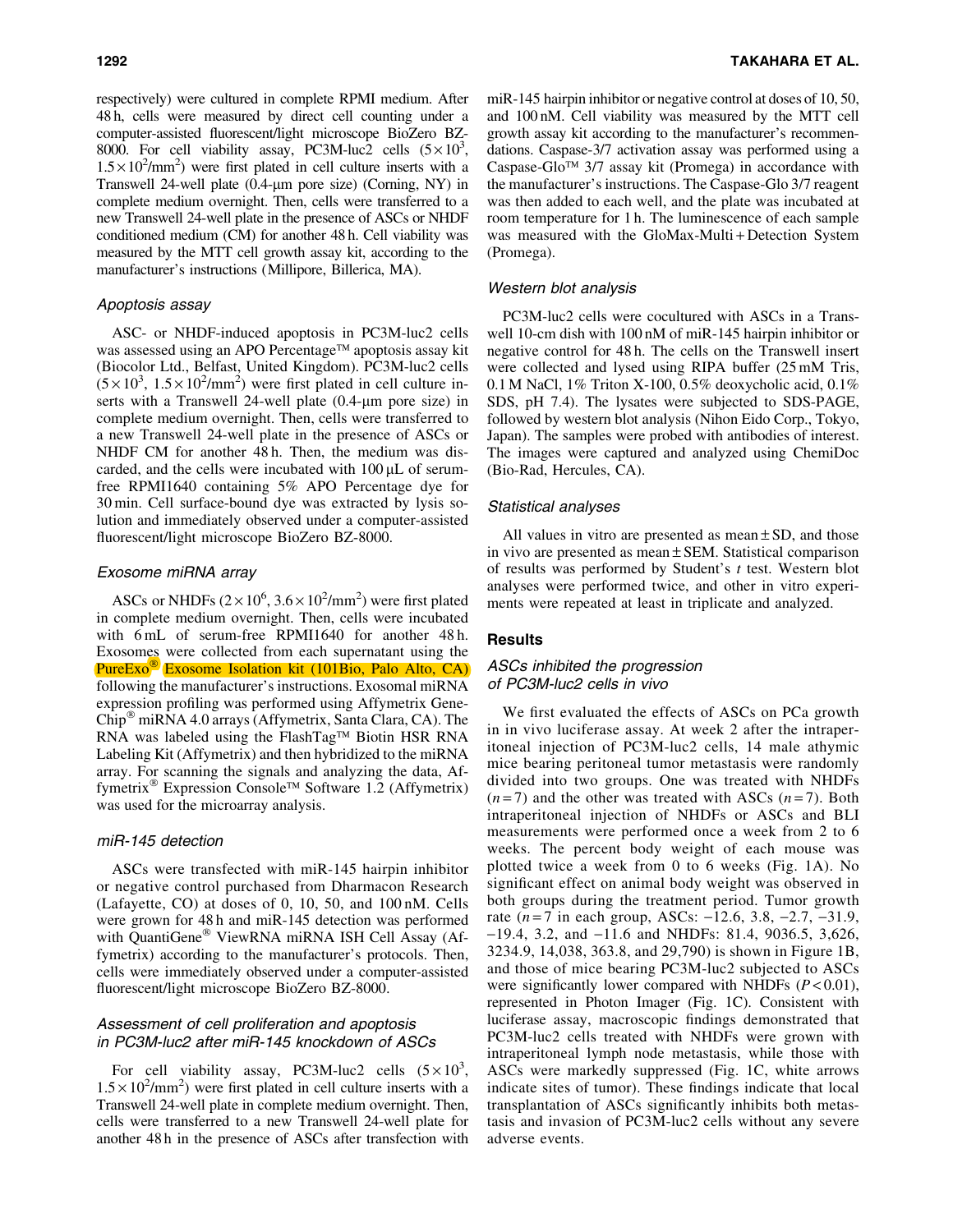respectively) were cultured in complete RPMI medium. After 48 h, cells were measured by direct cell counting under a computer-assisted fluorescent/light microscope BioZero BZ-8000. For cell viability assay, PC3M-luc2 cells  $(5 \times 10^3,$  $1.5 \times 10^2$ /mm<sup>2</sup>) were first plated in cell culture inserts with a Transwell 24-well plate (0.4-µm pore size) (Corning, NY) in complete medium overnight. Then, cells were transferred to a new Transwell 24-well plate in the presence of ASCs or NHDF conditioned medium (CM) for another 48 h. Cell viability was measured by the MTT cell growth assay kit, according to the manufacturer's instructions (Millipore, Billerica, MA).

# Apoptosis assay

ASC- or NHDF-induced apoptosis in PC3M-luc2 cells was assessed using an APO Percentage™ apoptosis assay kit (Biocolor Ltd., Belfast, United Kingdom). PC3M-luc2 cells  $(5 \times 10^3, 1.5 \times 10^2/\text{mm}^2)$  were first plated in cell culture inserts with a Transwell 24-well plate (0.4-µm pore size) in complete medium overnight. Then, cells were transferred to a new Transwell 24-well plate in the presence of ASCs or NHDF CM for another 48 h. Then, the medium was discarded, and the cells were incubated with  $100 \mu L$  of serumfree RPMI1640 containing 5% APO Percentage dye for 30 min. Cell surface-bound dye was extracted by lysis solution and immediately observed under a computer-assisted fluorescent/light microscope BioZero BZ-8000.

# Exosome miRNA array

ASCs or NHDFs  $(2 \times 10^6, 3.6 \times 10^2/\text{mm}^2)$  were first plated in complete medium overnight. Then, cells were incubated with 6 mL of serum-free RPMI1640 for another 48 h. Exosomes were collected from each supernatant using the PureExo<sup>®</sup> Exosome Isolation kit (101Bio, Palo Alto, CA) following the manufacturer's instructions. Exosomal miRNA expression profiling was performed using Affymetrix Gene- $Chip^{\omega}$  miRNA 4.0 arrays (Affymetrix, Santa Clara, CA). The RNA was labeled using the FlashTag<sup>TM</sup> Biotin HSR RNA Labeling Kit (Affymetrix) and then hybridized to the miRNA array. For scanning the signals and analyzing the data, Affymetrix<sup>®</sup> Expression Console<sup>™</sup> Software 1.2 (Affymetrix) was used for the microarray analysis.

### miR-145 detection

ASCs were transfected with miR-145 hairpin inhibitor or negative control purchased from Dharmacon Research (Lafayette, CO) at doses of 0, 10, 50, and 100 nM. Cells were grown for 48 h and miR-145 detection was performed with QuantiGene<sup>®</sup> ViewRNA miRNA ISH Cell Assay (Affymetrix) according to the manufacturer's protocols. Then, cells were immediately observed under a computer-assisted fluorescent/light microscope BioZero BZ-8000.

# Assessment of cell proliferation and apoptosis in PC3M-luc2 after miR-145 knockdown of ASCs

For cell viability assay, PC3M-luc2 cells  $(5 \times 10^3,$  $1.5 \times 10^2$ /mm<sup>2</sup>) were first plated in cell culture inserts with a Transwell 24-well plate in complete medium overnight. Then, cells were transferred to a new Transwell 24-well plate for another 48 h in the presence of ASCs after transfection with miR-145 hairpin inhibitor or negative control at doses of 10, 50, and 100 nM. Cell viability was measured by the MTT cell growth assay kit according to the manufacturer's recommendations. Caspase-3/7 activation assay was performed using a Caspase-Glo<sup> $TM$ </sup> 3/7 assay kit (Promega) in accordance with the manufacturer's instructions. The Caspase-Glo 3/7 reagent was then added to each well, and the plate was incubated at room temperature for 1 h. The luminescence of each sample was measured with the GloMax-Multi + Detection System (Promega).

# Western blot analysis

PC3M-luc2 cells were cocultured with ASCs in a Transwell 10-cm dish with 100 nM of miR-145 hairpin inhibitor or negative control for 48 h. The cells on the Transwell insert were collected and lysed using RIPA buffer (25 mM Tris, 0.1 M NaCl, 1% Triton X-100, 0.5% deoxycholic acid, 0.1% SDS, pH 7.4). The lysates were subjected to SDS-PAGE, followed by western blot analysis (Nihon Eido Corp., Tokyo, Japan). The samples were probed with antibodies of interest. The images were captured and analyzed using ChemiDoc (Bio-Rad, Hercules, CA).

# Statistical analyses

All values in vitro are presented as mean  $\pm$  SD, and those in vivo are presented as mean  $\pm$  SEM. Statistical comparison of results was performed by Student's *t* test. Western blot analyses were performed twice, and other in vitro experiments were repeated at least in triplicate and analyzed.

# **Results**

# ASCs inhibited the progression of PC3M-luc2 cells in vivo

We first evaluated the effects of ASCs on PCa growth in in vivo luciferase assay. At week 2 after the intraperitoneal injection of PC3M-luc2 cells, 14 male athymic mice bearing peritoneal tumor metastasis were randomly divided into two groups. One was treated with NHDFs  $(n=7)$  and the other was treated with ASCs  $(n=7)$ . Both intraperitoneal injection of NHDFs or ASCs and BLI measurements were performed once a week from 2 to 6 weeks. The percent body weight of each mouse was plotted twice a week from 0 to 6 weeks (Fig. 1A). No significant effect on animal body weight was observed in both groups during the treatment period. Tumor growth rate  $(n=7$  in each group, ASCs:  $-12.6$ , 3.8,  $-2.7$ ,  $-31.9$ , -19.4, 3.2, and -11.6 and NHDFs: 81.4, 9036.5, 3,626, 3234.9, 14,038, 363.8, and 29,790) is shown in Figure 1B, and those of mice bearing PC3M-luc2 subjected to ASCs were significantly lower compared with NHDFs (*P* < 0.01), represented in Photon Imager (Fig. 1C). Consistent with luciferase assay, macroscopic findings demonstrated that PC3M-luc2 cells treated with NHDFs were grown with intraperitoneal lymph node metastasis, while those with ASCs were markedly suppressed (Fig. 1C, white arrows indicate sites of tumor). These findings indicate that local transplantation of ASCs significantly inhibits both metastasis and invasion of PC3M-luc2 cells without any severe adverse events.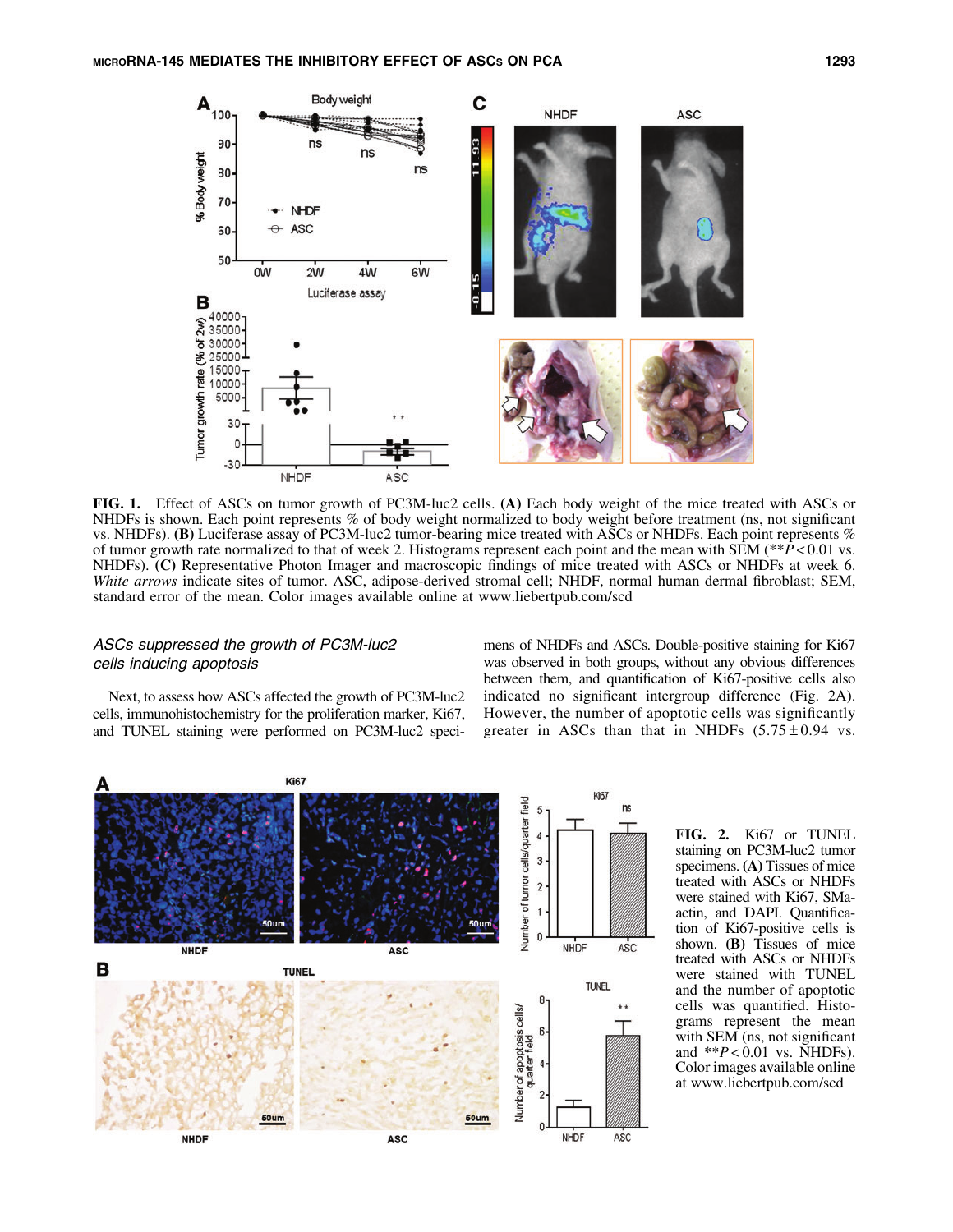

FIG. 1. Effect of ASCs on tumor growth of PC3M-luc2 cells. (A) Each body weight of the mice treated with ASCs or NHDFs is shown. Each point represents % of body weight normalized to body weight before treatment (ns, not significant vs. NHDFs). (B) Luciferase assay of PC3M-luc2 tumor-bearing mice treated with ASCs or NHDFs. Each point represents % of tumor growth rate normalized to that of week 2. Histograms represent each point and the mean with  $SEM$  (\*\* $\bar{P}$  < 0.01 vs. NHDFs). (C) Representative Photon Imager and macroscopic findings of mice treated with ASCs or NHDFs at week 6. *White arrows* indicate sites of tumor. ASC, adipose-derived stromal cell; NHDF, normal human dermal fibroblast; SEM, standard error of the mean. Color images available online at www.liebertpub.com/scd

# ASCs suppressed the growth of PC3M-luc2 cells inducing apoptosis

Next, to assess how ASCs affected the growth of PC3M-luc2 cells, immunohistochemistry for the proliferation marker, Ki67, and TUNEL staining were performed on PC3M-luc2 specimens of NHDFs and ASCs. Double-positive staining for Ki67 was observed in both groups, without any obvious differences between them, and quantification of Ki67-positive cells also indicated no significant intergroup difference (Fig. 2A). However, the number of apoptotic cells was significantly greater in ASCs than that in NHDFs  $(5.75 \pm 0.94 \text{ vs.})$ 



FIG. 2. Ki67 or TUNEL staining on PC3M-luc2 tumor specimens. (A) Tissues of mice treated with ASCs or NHDFs were stained with Ki67, SMaactin, and DAPI. Quantification of Ki67-positive cells is shown. (B) Tissues of mice treated with ASCs or NHDFs were stained with TUNEL and the number of apoptotic cells was quantified. Histograms represent the mean with SEM (ns, not significant and \*\**P* < 0.01 vs. NHDFs). Color images available online at www.liebertpub.com/scd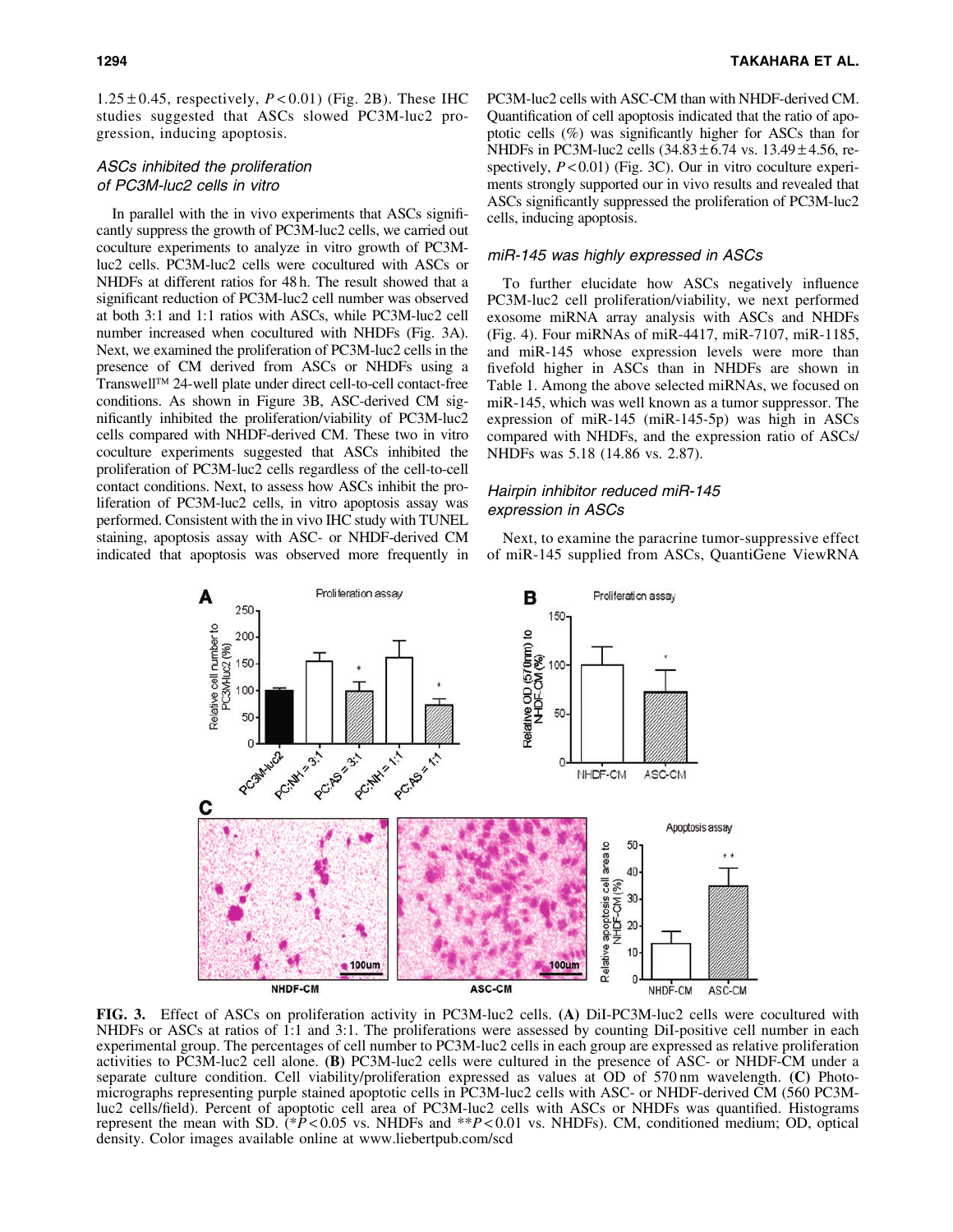$1.25 \pm 0.45$ , respectively,  $P < 0.01$ ) (Fig. 2B). These IHC studies suggested that ASCs slowed PC3M-luc2 progression, inducing apoptosis.

# ASCs inhibited the proliferation of PC3M-luc2 cells in vitro

In parallel with the in vivo experiments that ASCs significantly suppress the growth of PC3M-luc2 cells, we carried out coculture experiments to analyze in vitro growth of PC3Mluc2 cells. PC3M-luc2 cells were cocultured with ASCs or NHDFs at different ratios for 48 h. The result showed that a significant reduction of PC3M-luc2 cell number was observed at both 3:1 and 1:1 ratios with ASCs, while PC3M-luc2 cell number increased when cocultured with NHDFs (Fig. 3A). Next, we examined the proliferation of PC3M-luc2 cells in the presence of CM derived from ASCs or NHDFs using a Transwell<sup>™</sup> 24-well plate under direct cell-to-cell contact-free conditions. As shown in Figure 3B, ASC-derived CM significantly inhibited the proliferation/viability of PC3M-luc2 cells compared with NHDF-derived CM. These two in vitro coculture experiments suggested that ASCs inhibited the proliferation of PC3M-luc2 cells regardless of the cell-to-cell contact conditions. Next, to assess how ASCs inhibit the proliferation of PC3M-luc2 cells, in vitro apoptosis assay was performed. Consistent with the in vivo IHC study with TUNEL staining, apoptosis assay with ASC- or NHDF-derived CM indicated that apoptosis was observed more frequently in PC3M-luc2 cells with ASC-CM than with NHDF-derived CM. Quantification of cell apoptosis indicated that the ratio of apoptotic cells (%) was significantly higher for ASCs than for NHDFs in PC3M-luc2 cells  $(34.83 \pm 6.74 \text{ vs. } 13.49 \pm 4.56, \text{ re-}$ spectively,  $P < 0.01$ ) (Fig. 3C). Our in vitro coculture experiments strongly supported our in vivo results and revealed that ASCs significantly suppressed the proliferation of PC3M-luc2 cells, inducing apoptosis.

# miR-145 was highly expressed in ASCs

To further elucidate how ASCs negatively influence PC3M-luc2 cell proliferation/viability, we next performed exosome miRNA array analysis with ASCs and NHDFs (Fig. 4). Four miRNAs of miR-4417, miR-7107, miR-1185, and miR-145 whose expression levels were more than fivefold higher in ASCs than in NHDFs are shown in Table 1. Among the above selected miRNAs, we focused on miR-145, which was well known as a tumor suppressor. The expression of miR-145 (miR-145-5p) was high in ASCs compared with NHDFs, and the expression ratio of ASCs/ NHDFs was 5.18 (14.86 vs. 2.87).

# Hairpin inhibitor reduced miR-145 expression in ASCs

Next, to examine the paracrine tumor-suppressive effect of miR-145 supplied from ASCs, QuantiGene ViewRNA



FIG. 3. Effect of ASCs on proliferation activity in PC3M-luc2 cells. (A) DiI-PC3M-luc2 cells were cocultured with NHDFs or ASCs at ratios of 1:1 and 3:1. The proliferations were assessed by counting DiI-positive cell number in each experimental group. The percentages of cell number to PC3M-luc2 cells in each group are expressed as relative proliferation activities to PC3M-luc2 cell alone. (B) PC3M-luc2 cells were cultured in the presence of ASC- or NHDF-CM under a separate culture condition. Cell viability/proliferation expressed as values at OD of 570 nm wavelength. (C) Photomicrographs representing purple stained apoptotic cells in PC3M-luc2 cells with ASC- or NHDF-derived CM (560 PC3Mluc2 cells/field). Percent of apoptotic cell area of PC3M-luc2 cells with ASCs or NHDFs was quantified. Histograms represent the mean with SD. (\**P* < 0.05 vs. NHDFs and \*\**P* < 0.01 vs. NHDFs). CM, conditioned medium; OD, optical density. Color images available online at www.liebertpub.com/scd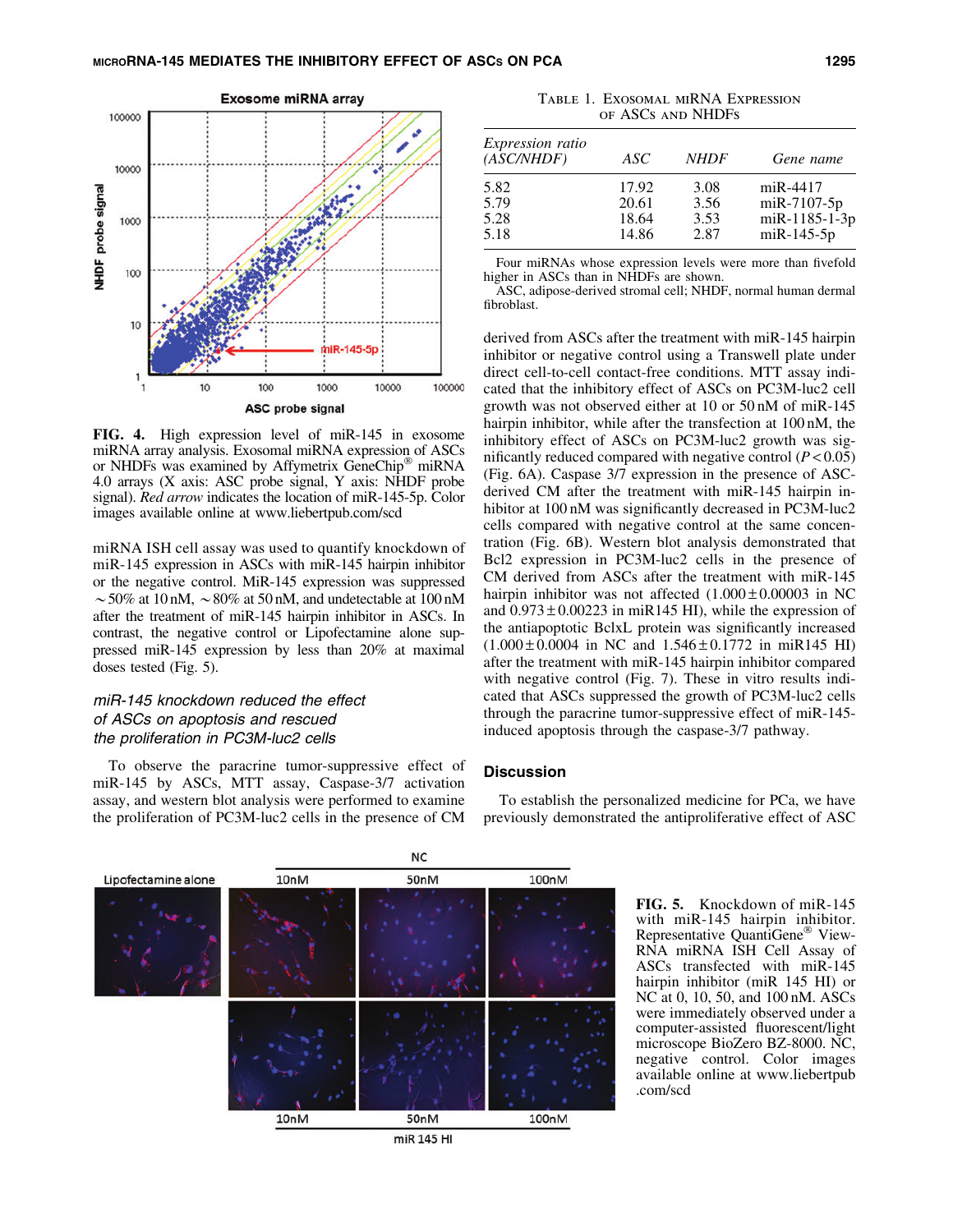

FIG. 4. High expression level of miR-145 in exosome miRNA array analysis. Exosomal miRNA expression of ASCs or NHDFs was examined by Affymetrix GeneChip® miRNA 4.0 arrays (X axis: ASC probe signal, Y axis: NHDF probe signal). *Red arrow* indicates the location of miR-145-5p. Color images available online at www.liebertpub.com/scd

miRNA ISH cell assay was used to quantify knockdown of miR-145 expression in ASCs with miR-145 hairpin inhibitor or the negative control. MiR-145 expression was suppressed  $\sim$  50% at 10 nM,  $\sim$  80% at 50 nM, and undetectable at 100 nM after the treatment of miR-145 hairpin inhibitor in ASCs. In contrast, the negative control or Lipofectamine alone suppressed miR-145 expression by less than 20% at maximal doses tested (Fig. 5).

# miR-145 knockdown reduced the effect of ASCs on apoptosis and rescued the proliferation in PC3M-luc2 cells

To observe the paracrine tumor-suppressive effect of miR-145 by ASCs, MTT assay, Caspase-3/7 activation assay, and western blot analysis were performed to examine the proliferation of PC3M-luc2 cells in the presence of CM

Table 1. Exosomal miRNA Expression of ASCs and NHDFs

| <i>Expression ratio</i><br>(ASC/NHDF) | ASC   | <b>NHDF</b> | Gene name            |
|---------------------------------------|-------|-------------|----------------------|
| 5.82                                  | 17.92 | 3.08        | $miR-4417$           |
| 5.79                                  | 20.61 | 3.56        | $m$ i R $-7107 - 5p$ |
| 5.28                                  | 18.64 | 3.53        | miR-1185-1-3p        |
| 5.18                                  | 14.86 | 2.87        | $mR-145-5p$          |

Four miRNAs whose expression levels were more than fivefold higher in ASCs than in NHDFs are shown.

ASC, adipose-derived stromal cell; NHDF, normal human dermal fibroblast.

derived from ASCs after the treatment with miR-145 hairpin inhibitor or negative control using a Transwell plate under direct cell-to-cell contact-free conditions. MTT assay indicated that the inhibitory effect of ASCs on PC3M-luc2 cell growth was not observed either at 10 or 50 nM of miR-145 hairpin inhibitor, while after the transfection at 100 nM, the inhibitory effect of ASCs on PC3M-luc2 growth was significantly reduced compared with negative control  $(P<0.05)$ (Fig. 6A). Caspase 3/7 expression in the presence of ASCderived CM after the treatment with miR-145 hairpin inhibitor at 100 nM was significantly decreased in PC3M-luc2 cells compared with negative control at the same concentration (Fig. 6B). Western blot analysis demonstrated that Bcl2 expression in PC3M-luc2 cells in the presence of CM derived from ASCs after the treatment with miR-145 hairpin inhibitor was not affected  $(1.000 \pm 0.00003$  in NC and  $0.973 \pm 0.00223$  in miR145 HI), while the expression of the antiapoptotic BclxL protein was significantly increased  $(1.000 \pm 0.0004$  in NC and  $1.546 \pm 0.1772$  in miR145 HI) after the treatment with miR-145 hairpin inhibitor compared with negative control (Fig. 7). These in vitro results indicated that ASCs suppressed the growth of PC3M-luc2 cells through the paracrine tumor-suppressive effect of miR-145 induced apoptosis through the caspase-3/7 pathway.

## **Discussion**

To establish the personalized medicine for PCa, we have previously demonstrated the antiproliferative effect of ASC



miR 145 HI

FIG. 5. Knockdown of miR-145 with miR-145 hairpin inhibitor. Representative QuantiGene<sup>®</sup> View-RNA miRNA ISH Cell Assay of ASCs transfected with miR-145 hairpin inhibitor (miR 145 HI) or NC at 0, 10, 50, and 100 nM. ASCs were immediately observed under a computer-assisted fluorescent/light microscope BioZero BZ-8000. NC, negative control. Color images available online at www.liebertpub .com/scd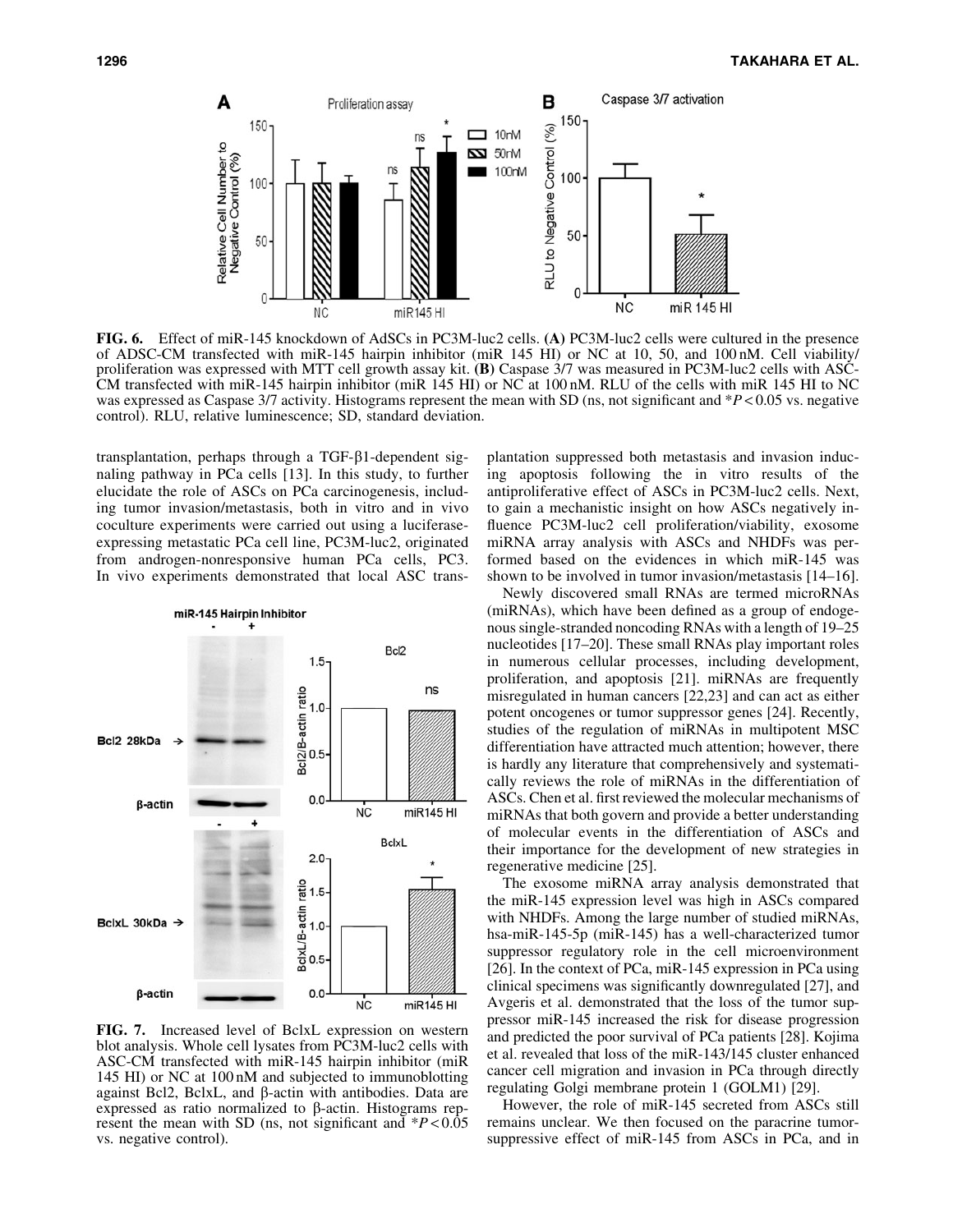

FIG. 6. Effect of miR-145 knockdown of AdSCs in PC3M-luc2 cells. (A) PC3M-luc2 cells were cultured in the presence of ADSC-CM transfected with miR-145 hairpin inhibitor (miR 145 HI) or NC at 10, 50, and 100 nM. Cell viability/ proliferation was expressed with MTT cell growth assay kit. (B) Caspase 3/7 was measured in PC3M-luc2 cells with ASC-CM transfected with miR-145 hairpin inhibitor (miR 145 HI) or NC at 100 nM. RLU of the cells with miR 145 HI to NC was expressed as Caspase 3/7 activity. Histograms represent the mean with SD (ns, not significant and \**P* < 0.05 vs. negative control). RLU, relative luminescence; SD, standard deviation.

transplantation, perhaps through a TGF- $\beta$ 1-dependent signaling pathway in PCa cells [13]. In this study, to further elucidate the role of ASCs on PCa carcinogenesis, including tumor invasion/metastasis, both in vitro and in vivo coculture experiments were carried out using a luciferaseexpressing metastatic PCa cell line, PC3M-luc2, originated from androgen-nonresponsive human PCa cells, PC3. In vivo experiments demonstrated that local ASC trans-



FIG. 7. Increased level of BclxL expression on western blot analysis. Whole cell lysates from PC3M-luc2 cells with ASC-CM transfected with miR-145 hairpin inhibitor (miR 145 HI) or NC at 100 nM and subjected to immunoblotting against Bcl2, BclxL, and  $\beta$ -actin with antibodies. Data are expressed as ratio normalized to  $\beta$ -actin. Histograms represent the mean with SD (ns, not significant and \**P* < 0.05 vs. negative control).

plantation suppressed both metastasis and invasion inducing apoptosis following the in vitro results of the antiproliferative effect of ASCs in PC3M-luc2 cells. Next, to gain a mechanistic insight on how ASCs negatively influence PC3M-luc2 cell proliferation/viability, exosome miRNA array analysis with ASCs and NHDFs was performed based on the evidences in which miR-145 was shown to be involved in tumor invasion/metastasis [14–16].

Newly discovered small RNAs are termed microRNAs (miRNAs), which have been defined as a group of endogenous single-stranded noncoding RNAs with a length of 19–25 nucleotides [17–20]. These small RNAs play important roles in numerous cellular processes, including development, proliferation, and apoptosis [21]. miRNAs are frequently misregulated in human cancers [22,23] and can act as either potent oncogenes or tumor suppressor genes [24]. Recently, studies of the regulation of miRNAs in multipotent MSC differentiation have attracted much attention; however, there is hardly any literature that comprehensively and systematically reviews the role of miRNAs in the differentiation of ASCs. Chen et al. first reviewed the molecular mechanisms of miRNAs that both govern and provide a better understanding of molecular events in the differentiation of ASCs and their importance for the development of new strategies in regenerative medicine [25].

The exosome miRNA array analysis demonstrated that the miR-145 expression level was high in ASCs compared with NHDFs. Among the large number of studied miRNAs, hsa-miR-145-5p (miR-145) has a well-characterized tumor suppressor regulatory role in the cell microenvironment [26]. In the context of PCa, miR-145 expression in PCa using clinical specimens was significantly downregulated [27], and Avgeris et al. demonstrated that the loss of the tumor suppressor miR-145 increased the risk for disease progression and predicted the poor survival of PCa patients [28]. Kojima et al. revealed that loss of the miR-143/145 cluster enhanced cancer cell migration and invasion in PCa through directly regulating Golgi membrane protein 1 (GOLM1) [29].

However, the role of miR-145 secreted from ASCs still remains unclear. We then focused on the paracrine tumorsuppressive effect of miR-145 from ASCs in PCa, and in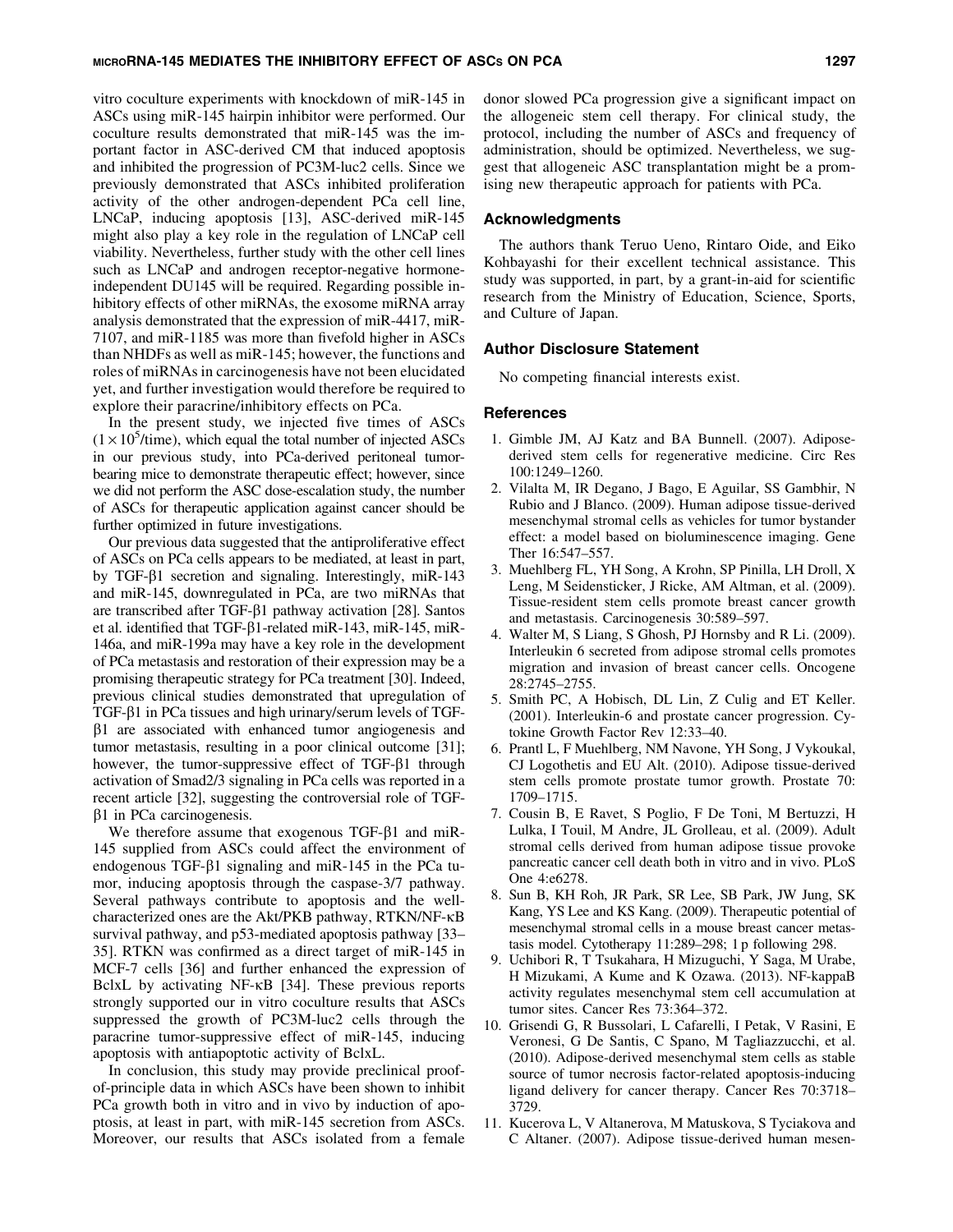#### MICRORNA-145 MEDIATES THE INHIBITORY EFFECT OF ASCs ON PCA 1297

vitro coculture experiments with knockdown of miR-145 in ASCs using miR-145 hairpin inhibitor were performed. Our coculture results demonstrated that miR-145 was the important factor in ASC-derived CM that induced apoptosis and inhibited the progression of PC3M-luc2 cells. Since we previously demonstrated that ASCs inhibited proliferation activity of the other androgen-dependent PCa cell line, LNCaP, inducing apoptosis [13], ASC-derived miR-145 might also play a key role in the regulation of LNCaP cell viability. Nevertheless, further study with the other cell lines such as LNCaP and androgen receptor-negative hormoneindependent DU145 will be required. Regarding possible inhibitory effects of other miRNAs, the exosome miRNA array analysis demonstrated that the expression of miR-4417, miR-7107, and miR-1185 was more than fivefold higher in ASCs than NHDFs as well as miR-145; however, the functions and roles of miRNAs in carcinogenesis have not been elucidated yet, and further investigation would therefore be required to explore their paracrine/inhibitory effects on PCa.

In the present study, we injected five times of ASCs  $(1 \times 10^5$ /time), which equal the total number of injected ASCs in our previous study, into PCa-derived peritoneal tumorbearing mice to demonstrate therapeutic effect; however, since we did not perform the ASC dose-escalation study, the number of ASCs for therapeutic application against cancer should be further optimized in future investigations.

Our previous data suggested that the antiproliferative effect of ASCs on PCa cells appears to be mediated, at least in part, by TGF- $\beta$ 1 secretion and signaling. Interestingly, miR-143 and miR-145, downregulated in PCa, are two miRNAs that are transcribed after TGF- $\beta$ 1 pathway activation [28]. Santos et al. identified that TGF- $\beta$ 1-related miR-143, miR-145, miR-146a, and miR-199a may have a key role in the development of PCa metastasis and restoration of their expression may be a promising therapeutic strategy for PCa treatment [30]. Indeed, previous clinical studies demonstrated that upregulation of TGF-b1 in PCa tissues and high urinary/serum levels of TGF- $\beta$ 1 are associated with enhanced tumor angiogenesis and tumor metastasis, resulting in a poor clinical outcome [31]; however, the tumor-suppressive effect of  $TGF- $\beta$ 1 through$ activation of Smad2/3 signaling in PCa cells was reported in a recent article [32], suggesting the controversial role of TGF- $\beta$ 1 in PCa carcinogenesis.

We therefore assume that exogenous  $TGF- $\beta$ 1 and miR-$ 145 supplied from ASCs could affect the environment of endogenous TGF- $\beta$ 1 signaling and miR-145 in the PCa tumor, inducing apoptosis through the caspase-3/7 pathway. Several pathways contribute to apoptosis and the wellcharacterized ones are the Akt/PKB pathway, RTKN/NF-kB survival pathway, and p53-mediated apoptosis pathway [33– 35]. RTKN was confirmed as a direct target of miR-145 in MCF-7 cells [36] and further enhanced the expression of BclxL by activating NF- $\kappa$ B [34]. These previous reports strongly supported our in vitro coculture results that ASCs suppressed the growth of PC3M-luc2 cells through the paracrine tumor-suppressive effect of miR-145, inducing apoptosis with antiapoptotic activity of BclxL.

In conclusion, this study may provide preclinical proofof-principle data in which ASCs have been shown to inhibit PCa growth both in vitro and in vivo by induction of apoptosis, at least in part, with miR-145 secretion from ASCs. Moreover, our results that ASCs isolated from a female donor slowed PCa progression give a significant impact on the allogeneic stem cell therapy. For clinical study, the protocol, including the number of ASCs and frequency of administration, should be optimized. Nevertheless, we suggest that allogeneic ASC transplantation might be a promising new therapeutic approach for patients with PCa.

# Acknowledgments

The authors thank Teruo Ueno, Rintaro Oide, and Eiko Kohbayashi for their excellent technical assistance. This study was supported, in part, by a grant-in-aid for scientific research from the Ministry of Education, Science, Sports, and Culture of Japan.

# Author Disclosure Statement

No competing financial interests exist.

#### References

- 1. Gimble JM, AJ Katz and BA Bunnell. (2007). Adiposederived stem cells for regenerative medicine. Circ Res 100:1249–1260.
- 2. Vilalta M, IR Degano, J Bago, E Aguilar, SS Gambhir, N Rubio and J Blanco. (2009). Human adipose tissue-derived mesenchymal stromal cells as vehicles for tumor bystander effect: a model based on bioluminescence imaging. Gene Ther 16:547–557.
- 3. Muehlberg FL, YH Song, A Krohn, SP Pinilla, LH Droll, X Leng, M Seidensticker, J Ricke, AM Altman, et al. (2009). Tissue-resident stem cells promote breast cancer growth and metastasis. Carcinogenesis 30:589–597.
- 4. Walter M, S Liang, S Ghosh, PJ Hornsby and R Li. (2009). Interleukin 6 secreted from adipose stromal cells promotes migration and invasion of breast cancer cells. Oncogene 28:2745–2755.
- 5. Smith PC, A Hobisch, DL Lin, Z Culig and ET Keller. (2001). Interleukin-6 and prostate cancer progression. Cytokine Growth Factor Rev 12:33–40.
- 6. Prantl L, F Muehlberg, NM Navone, YH Song, J Vykoukal, CJ Logothetis and EU Alt. (2010). Adipose tissue-derived stem cells promote prostate tumor growth. Prostate 70: 1709–1715.
- 7. Cousin B, E Ravet, S Poglio, F De Toni, M Bertuzzi, H Lulka, I Touil, M Andre, JL Grolleau, et al. (2009). Adult stromal cells derived from human adipose tissue provoke pancreatic cancer cell death both in vitro and in vivo. PLoS One 4:e6278.
- 8. Sun B, KH Roh, JR Park, SR Lee, SB Park, JW Jung, SK Kang, YS Lee and KS Kang. (2009). Therapeutic potential of mesenchymal stromal cells in a mouse breast cancer metastasis model. Cytotherapy 11:289–298; 1 p following 298.
- 9. Uchibori R, T Tsukahara, H Mizuguchi, Y Saga, M Urabe, H Mizukami, A Kume and K Ozawa. (2013). NF-kappaB activity regulates mesenchymal stem cell accumulation at tumor sites. Cancer Res 73:364–372.
- 10. Grisendi G, R Bussolari, L Cafarelli, I Petak, V Rasini, E Veronesi, G De Santis, C Spano, M Tagliazzucchi, et al. (2010). Adipose-derived mesenchymal stem cells as stable source of tumor necrosis factor-related apoptosis-inducing ligand delivery for cancer therapy. Cancer Res 70:3718– 3729.
- 11. Kucerova L, V Altanerova, M Matuskova, S Tyciakova and C Altaner. (2007). Adipose tissue-derived human mesen-